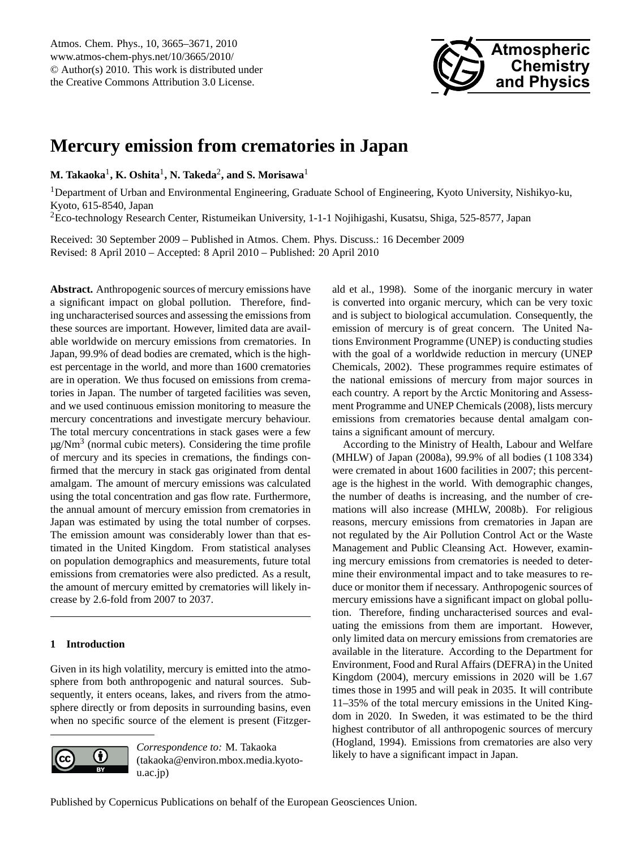

# <span id="page-0-0"></span>**Mercury emission from crematories in Japan**

 $\mathbf{M}.$  Takaoka<sup>1</sup>, **K.** Oshita<sup>1</sup>, N. Takeda<sup>2</sup>, and S. Morisawa<sup>1</sup>

<sup>1</sup>Department of Urban and Environmental Engineering, Graduate School of Engineering, Kyoto University, Nishikyo-ku, Kyoto, 615-8540, Japan

<sup>2</sup>Eco-technology Research Center, Ristumeikan University, 1-1-1 Nojihigashi, Kusatsu, Shiga, 525-8577, Japan

Received: 30 September 2009 – Published in Atmos. Chem. Phys. Discuss.: 16 December 2009 Revised: 8 April 2010 – Accepted: 8 April 2010 – Published: 20 April 2010

**Abstract.** Anthropogenic sources of mercury emissions have a significant impact on global pollution. Therefore, finding uncharacterised sources and assessing the emissions from these sources are important. However, limited data are available worldwide on mercury emissions from crematories. In Japan, 99.9% of dead bodies are cremated, which is the highest percentage in the world, and more than 1600 crematories are in operation. We thus focused on emissions from crematories in Japan. The number of targeted facilities was seven, and we used continuous emission monitoring to measure the mercury concentrations and investigate mercury behaviour. The total mercury concentrations in stack gases were a few  $\mu$ g/Nm<sup>3</sup> (normal cubic meters). Considering the time profile of mercury and its species in cremations, the findings confirmed that the mercury in stack gas originated from dental amalgam. The amount of mercury emissions was calculated using the total concentration and gas flow rate. Furthermore, the annual amount of mercury emission from crematories in Japan was estimated by using the total number of corpses. The emission amount was considerably lower than that estimated in the United Kingdom. From statistical analyses on population demographics and measurements, future total emissions from crematories were also predicted. As a result, the amount of mercury emitted by crematories will likely increase by 2.6-fold from 2007 to 2037.

# **1 Introduction**

Given in its high volatility, mercury is emitted into the atmosphere from both anthropogenic and natural sources. Subsequently, it enters oceans, lakes, and rivers from the atmosphere directly or from deposits in surrounding basins, even when no specific source of the element is present (Fitzger-



*Correspondence to:* M. Takaoka (takaoka@environ.mbox.media.kyotou.ac.jp)

ald et al., 1998). Some of the inorganic mercury in water is converted into organic mercury, which can be very toxic and is subject to biological accumulation. Consequently, the emission of mercury is of great concern. The United Nations Environment Programme (UNEP) is conducting studies with the goal of a worldwide reduction in mercury (UNEP Chemicals, 2002). These programmes require estimates of the national emissions of mercury from major sources in each country. A report by the Arctic Monitoring and Assessment Programme and UNEP Chemicals (2008), lists mercury emissions from crematories because dental amalgam contains a significant amount of mercury.

According to the Ministry of Health, Labour and Welfare (MHLW) of Japan (2008a), 99.9% of all bodies (1 108 334) were cremated in about 1600 facilities in 2007; this percentage is the highest in the world. With demographic changes, the number of deaths is increasing, and the number of cremations will also increase (MHLW, 2008b). For religious reasons, mercury emissions from crematories in Japan are not regulated by the Air Pollution Control Act or the Waste Management and Public Cleansing Act. However, examining mercury emissions from crematories is needed to determine their environmental impact and to take measures to reduce or monitor them if necessary. Anthropogenic sources of mercury emissions have a significant impact on global pollution. Therefore, finding uncharacterised sources and evaluating the emissions from them are important. However, only limited data on mercury emissions from crematories are available in the literature. According to the Department for Environment, Food and Rural Affairs (DEFRA) in the United Kingdom (2004), mercury emissions in 2020 will be 1.67 times those in 1995 and will peak in 2035. It will contribute 11–35% of the total mercury emissions in the United Kingdom in 2020. In Sweden, it was estimated to be the third highest contributor of all anthropogenic sources of mercury (Hogland, 1994). Emissions from crematories are also very likely to have a significant impact in Japan.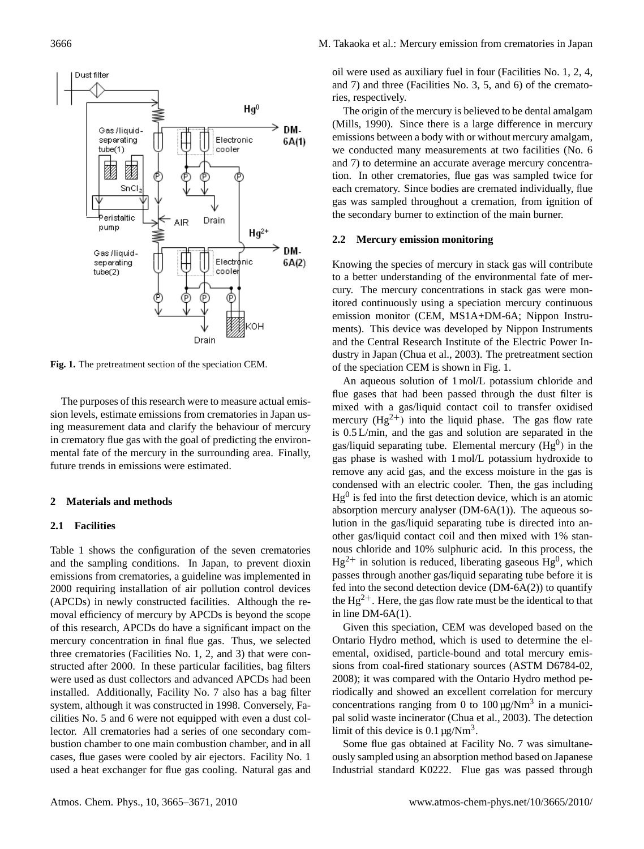

**Fig. 1.** The pretreatment section of the speciation CEM.

The purposes of this research were to measure actual emission levels, estimate emissions from crematories in Japan using measurement data and clarify the behaviour of mercury in crematory flue gas with the goal of predicting the environmental fate of the mercury in the surrounding area. Finally, future trends in emissions were estimated.

## **2 Materials and methods**

## **2.1 Facilities**

Table 1 shows the configuration of the seven crematories and the sampling conditions. In Japan, to prevent dioxin emissions from crematories, a guideline was implemented in 2000 requiring installation of air pollution control devices (APCDs) in newly constructed facilities. Although the removal efficiency of mercury by APCDs is beyond the scope of this research, APCDs do have a significant impact on the mercury concentration in final flue gas. Thus, we selected three crematories (Facilities No. 1, 2, and 3) that were constructed after 2000. In these particular facilities, bag filters were used as dust collectors and advanced APCDs had been installed. Additionally, Facility No. 7 also has a bag filter system, although it was constructed in 1998. Conversely, Facilities No. 5 and 6 were not equipped with even a dust collector. All crematories had a series of one secondary combustion chamber to one main combustion chamber, and in all cases, flue gases were cooled by air ejectors. Facility No. 1 used a heat exchanger for flue gas cooling. Natural gas and oil were used as auxiliary fuel in four (Facilities No. 1, 2, 4, and 7) and three (Facilities No. 3, 5, and 6) of the crematories, respectively.

The origin of the mercury is believed to be dental amalgam (Mills, 1990). Since there is a large difference in mercury emissions between a body with or without mercury amalgam, we conducted many measurements at two facilities (No. 6 and 7) to determine an accurate average mercury concentration. In other crematories, flue gas was sampled twice for each crematory. Since bodies are cremated individually, flue gas was sampled throughout a cremation, from ignition of the secondary burner to extinction of the main burner.

#### **2.2 Mercury emission monitoring**

Knowing the species of mercury in stack gas will contribute to a better understanding of the environmental fate of mercury. The mercury concentrations in stack gas were monitored continuously using a speciation mercury continuous emission monitor (CEM, MS1A+DM-6A; Nippon Instruments). This device was developed by Nippon Instruments and the Central Research Institute of the Electric Power Industry in Japan (Chua et al., 2003). The pretreatment section of the speciation CEM is shown in Fig. 1.

An aqueous solution of 1 mol/L potassium chloride and flue gases that had been passed through the dust filter is mixed with a gas/liquid contact coil to transfer oxidised mercury  $(Hg^{2+})$  into the liquid phase. The gas flow rate is 0.5 L/min, and the gas and solution are separated in the gas/liquid separating tube. Elemental mercury  $(Hg^0)$  in the gas phase is washed with 1 mol/L potassium hydroxide to remove any acid gas, and the excess moisture in the gas is condensed with an electric cooler. Then, the gas including  $Hg<sup>0</sup>$  is fed into the first detection device, which is an atomic absorption mercury analyser (DM-6A(1)). The aqueous solution in the gas/liquid separating tube is directed into another gas/liquid contact coil and then mixed with 1% stannous chloride and 10% sulphuric acid. In this process, the  $Hg^{2+}$  in solution is reduced, liberating gaseous  $Hg^{0}$ , which passes through another gas/liquid separating tube before it is fed into the second detection device (DM-6A(2)) to quantify the  $Hg^{2+}$ . Here, the gas flow rate must be the identical to that in line DM-6A(1).

Given this speciation, CEM was developed based on the Ontario Hydro method, which is used to determine the elemental, oxidised, particle-bound and total mercury emissions from coal-fired stationary sources (ASTM D6784-02, 2008); it was compared with the Ontario Hydro method periodically and showed an excellent correlation for mercury concentrations ranging from 0 to  $100 \mu g/Nm^3$  in a municipal solid waste incinerator (Chua et al., 2003). The detection limit of this device is  $0.1 \,\mathrm{\upmu g/Nm^3}$ .

Some flue gas obtained at Facility No. 7 was simultaneously sampled using an absorption method based on Japanese Industrial standard K0222. Flue gas was passed through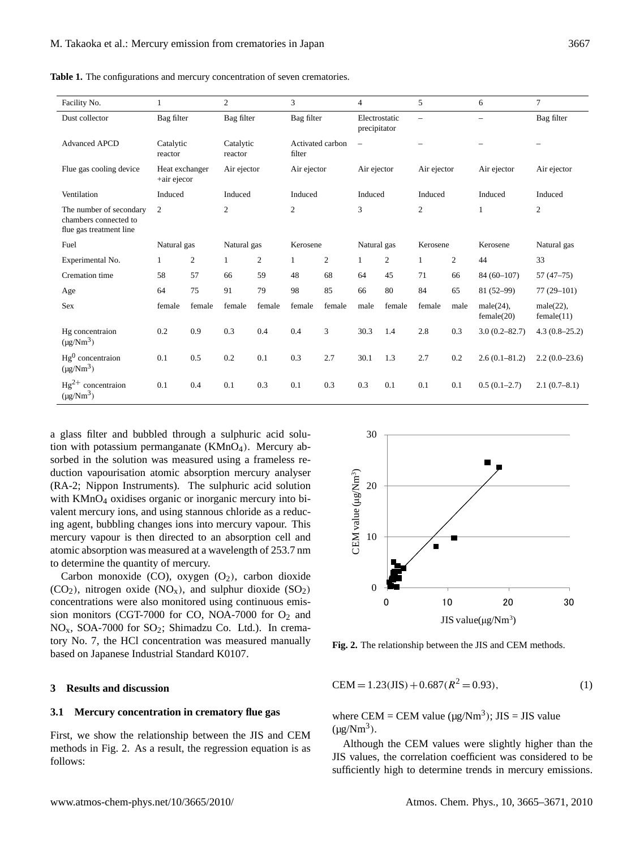**Table 1.** The configurations and mercury concentration of seven crematories.

| Facility No.                                                                | $\mathbf{1}$                  |                | $\overline{2}$       |                | 3                          |                | 4                             |                | 5              |                | 6                       | $\overline{7}$          |
|-----------------------------------------------------------------------------|-------------------------------|----------------|----------------------|----------------|----------------------------|----------------|-------------------------------|----------------|----------------|----------------|-------------------------|-------------------------|
| Dust collector                                                              | Bag filter                    |                | Bag filter           |                | Bag filter                 |                | Electrostatic<br>precipitator |                | $\equiv$       |                |                         | Bag filter              |
| <b>Advanced APCD</b>                                                        | Catalytic<br>reactor          |                | Catalytic<br>reactor |                | Activated carbon<br>filter |                |                               |                |                |                |                         |                         |
| Flue gas cooling device                                                     | Heat exchanger<br>+air ejecor |                | Air ejector          |                | Air ejector                |                | Air ejector                   |                | Air ejector    |                | Air ejector             | Air ejector             |
| Ventilation                                                                 | Induced                       |                | Induced              |                | Induced                    |                | Induced                       |                | Induced        |                | Induced                 | Induced                 |
| The number of secondary<br>chambers connected to<br>flue gas treatment line | $\overline{c}$                |                | $\overline{c}$       |                | $\overline{2}$             |                | 3                             |                | $\overline{2}$ |                | $\mathbf{1}$            | $\overline{2}$          |
| Fuel                                                                        | Natural gas                   |                | Natural gas          |                | Kerosene                   |                | Natural gas                   |                | Kerosene       |                | Kerosene                | Natural gas             |
| Experimental No.                                                            | $\mathbf{1}$                  | $\overline{2}$ | $\mathbf{1}$         | $\mathfrak{2}$ | $\mathbf{1}$               | $\overline{c}$ | $\mathbf{1}$                  | $\overline{c}$ | $\mathbf{1}$   | $\overline{c}$ | 44                      | 33                      |
| Cremation time                                                              | 58                            | 57             | 66                   | 59             | 48                         | 68             | 64                            | 45             | 71             | 66             | $84(60-107)$            | $57(47-75)$             |
| Age                                                                         | 64                            | 75             | 91                   | 79             | 98                         | 85             | 66                            | 80             | 84             | 65             | $81(52-99)$             | $77(29-101)$            |
| <b>Sex</b>                                                                  | female                        | female         | female               | female         | female                     | female         | male                          | female         | female         | male           | male(24),<br>female(20) | male(22),<br>female(11) |
| Hg concentraion<br>$(\mu g/Nm^3)$                                           | 0.2                           | 0.9            | 0.3                  | 0.4            | 0.4                        | 3              | 30.3                          | 1.4            | 2.8            | 0.3            | $3.0(0.2 - 82.7)$       | $4.3(0.8-25.2)$         |
| $Hg0$ concentraion<br>$(\mu g/Nm^3)$                                        | 0.1                           | 0.5            | 0.2                  | 0.1            | 0.3                        | 2.7            | 30.1                          | 1.3            | 2.7            | 0.2            | $2.6(0.1 - 81.2)$       | $2.2(0.0-23.6)$         |
| $Hg^{2+}$ concentraion<br>$(\mu g/Nm^3)$                                    | 0.1                           | 0.4            | 0.1                  | 0.3            | 0.1                        | 0.3            | 0.3                           | 0.1            | 0.1            | 0.1            | $0.5(0.1-2.7)$          | $2.1(0.7-8.1)$          |

a glass filter and bubbled through a sulphuric acid solution with potassium permanganate  $(KMnO<sub>4</sub>)$ . Mercury absorbed in the solution was measured using a frameless reduction vapourisation atomic absorption mercury analyser (RA-2; Nippon Instruments). The sulphuric acid solution with KMnO<sub>4</sub> oxidises organic or inorganic mercury into bivalent mercury ions, and using stannous chloride as a reducing agent, bubbling changes ions into mercury vapour. This mercury vapour is then directed to an absorption cell and atomic absorption was measured at a wavelength of 253.7 nm to determine the quantity of mercury.

Carbon monoxide  $(CO)$ , oxygen  $(O<sub>2</sub>)$ , carbon dioxide  $(CO_2)$ , nitrogen oxide  $(NO_x)$ , and sulphur dioxide  $(SO_2)$ concentrations were also monitored using continuous emission monitors (CGT-7000 for CO, NOA-7000 for O<sup>2</sup> and  $NO<sub>x</sub>$ , SOA-7000 for SO<sub>2</sub>; Shimadzu Co. Ltd.). In crematory No. 7, the HCl concentration was measured manually based on Japanese Industrial Standard K0107.

# **3 Results and discussion**

#### **3.1 Mercury concentration in crematory flue gas**

First, we show the relationship between the JIS and CEM methods in Fig. 2. As a result, the regression equation is as follows:



Fig. 2. The relationship between the JIS and CEM methods.

$$
CEM = 1.23(JIS) + 0.687(R^2 = 0.93),
$$
\n(1)

where CEM = CEM value  $(\mu g/Nm^3)$ ; JIS = JIS value  $(\mu g/Nm^3)$ .

Although the CEM values were slightly higher than the JIS values, the correlation coefficient was considered to be sufficiently high to determine trends in mercury emissions.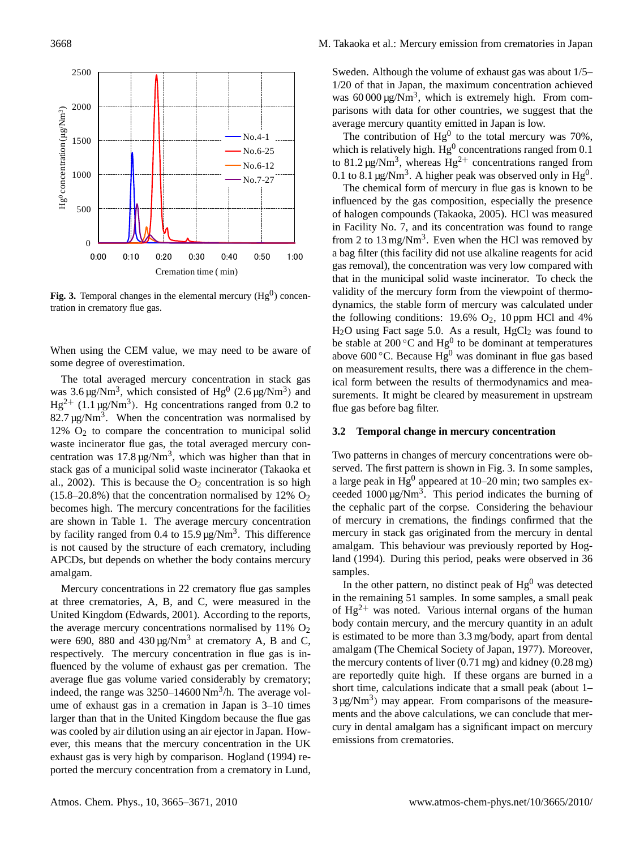

tration in crematory flue gas. Fig. 3. Temporal changes in the elemental mercury  $(Hg^0)$  concen-

When using the CEM value, we may need to be aware of some degree of overestimation.

The total averaged mercury concentration in stack gas was  $3.6 \mu g / Nm^3$ , which consisted of Hg<sup>0</sup> (2.6  $\mu g / Nm^3$ ) and  $Hg^{2+}$  (1.1 µg/Nm<sup>3</sup>). Hg concentrations ranged from 0.2 to 82.7  $\mu$ g/Nm<sup>3</sup>. When the concentration was normalised by  $12\%$  O<sub>2</sub> to compare the concentration to municipal solid waste incinerator flue gas, the total averaged mercury concentration was  $17.8 \,\mathrm{\upmu g/Nm^3}$ , which was higher than that in stack gas of a municipal solid waste incinerator (Takaoka et al., 2002). This is because the  $O_2$  concentration is so high  $(15.8-20.8\%)$  that the concentration normalised by 12% O<sub>2</sub> becomes high. The mercury concentrations for the facilities are shown in Table 1. The average mercury concentration by facility ranged from  $0.4$  to  $15.9 \,\mu g/Nm^3$ . This difference is not caused by the structure of each crematory, including APCDs, but depends on whether the body contains mercury amalgam.

Mercury concentrations in 22 crematory flue gas samples at three crematories, A, B, and C, were measured in the United Kingdom (Edwards, 2001). According to the reports, the average mercury concentrations normalised by  $11\%$  O<sub>2</sub> were 690, 880 and  $430 \mu g/Nm^3$  at crematory A, B and C, respectively. The mercury concentration in flue gas is influenced by the volume of exhaust gas per cremation. The average flue gas volume varied considerably by crematory; indeed, the range was  $3250 - 14600 \text{ Nm}^3$ /h. The average volume of exhaust gas in a cremation in Japan is 3–10 times larger than that in the United Kingdom because the flue gas was cooled by air dilution using an air ejector in Japan. However, this means that the mercury concentration in the UK exhaust gas is very high by comparison. Hogland (1994) reported the mercury concentration from a crematory in Lund, Sweden. Although the volume of exhaust gas was about 1/5– 1/20 of that in Japan, the maximum concentration achieved was  $60000 \mu g/Nm^3$ , which is extremely high. From comparisons with data for other countries, we suggest that the average mercury quantity emitted in Japan is low.

The contribution of  $Hg^0$  to the total mercury was 70%, which is relatively high.  $Hg^0$  concentrations ranged from 0.1 to 81.2  $\mu$ g/Nm<sup>3</sup>, whereas Hg<sup>2+</sup> concentrations ranged from 0.1 to 8.1  $\mu$ g/Nm<sup>3</sup>. A higher peak was observed only in Hg<sup>0</sup>.

dynamics, the stable form of mercury was calculated under The chemical form of mercury in flue gas is known to be influenced by the gas composition, especially the presence of halogen compounds (Takaoka, 2005). HCl was measured in Facility No. 7, and its concentration was found to range from 2 to  $13 \text{ mg}/\text{Nm}^3$ . Even when the HCl was removed by a bag filter (this facility did not use alkaline reagents for acid gas removal), the concentration was very low compared with that in the municipal solid waste incinerator. To check the validity of the mercury form from the viewpoint of thermothe following conditions:  $19.6\%$  O<sub>2</sub>, 10 ppm HCl and 4%  $H<sub>2</sub>O$  using Fact sage 5.0. As a result,  $H<sub>g</sub>Cl<sub>2</sub>$  was found to be stable at 200 $\degree$ C and Hg<sup>0</sup> to be dominant at temperatures above 600 °C. Because  $Hg^0$  was dominant in flue gas based on measurement results, there was a difference in the chemical form between the results of thermodynamics and measurements. It might be cleared by measurement in upstream flue gas before bag filter.

#### **3.2 Temporal change in mercury concentration**

Two patterns in changes of mercury concentrations were observed. The first pattern is shown in Fig. 3. In some samples, a large peak in  $Hg^0$  appeared at 10–20 min; two samples exceeded  $1000 \mu g / Nm^3$ . This period indicates the burning of the cephalic part of the corpse. Considering the behaviour of mercury in cremations, the findings confirmed that the mercury in stack gas originated from the mercury in dental amalgam. This behaviour was previously reported by Hogland (1994). During this period, peaks were observed in 36 samples.

In the other pattern, no distinct peak of  $Hg<sup>0</sup>$  was detected in the remaining 51 samples. In some samples, a small peak of  $Hg^{2+}$  was noted. Various internal organs of the human body contain mercury, and the mercury quantity in an adult is estimated to be more than 3.3 mg/body, apart from dental amalgam (The Chemical Society of Japan, 1977). Moreover, the mercury contents of liver (0.71 mg) and kidney (0.28 mg) are reportedly quite high. If these organs are burned in a short time, calculations indicate that a small peak (about 1–  $3 \mu g / N m^3$ ) may appear. From comparisons of the measurements and the above calculations, we can conclude that mercury in dental amalgam has a significant impact on mercury emissions from crematories.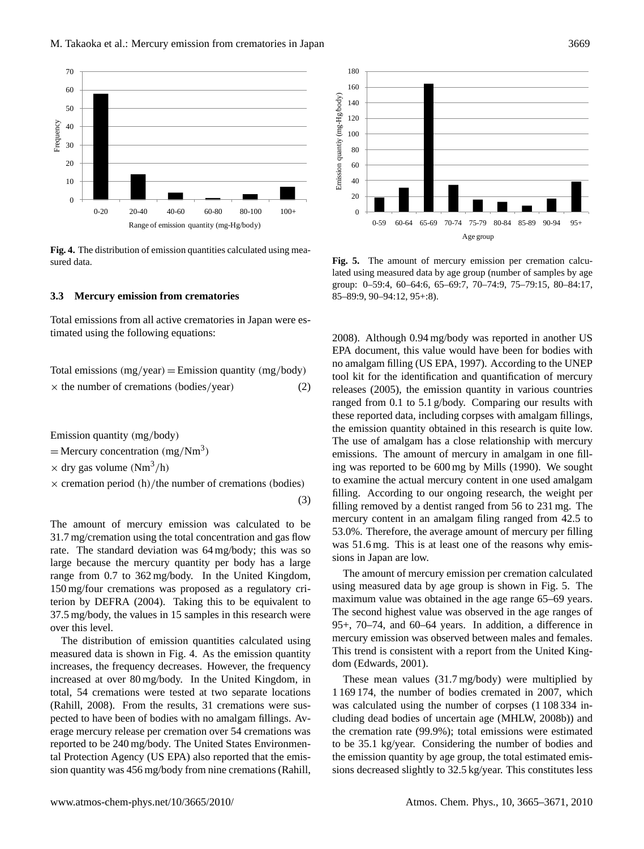

**Fig. 4.** The distribution of emission quantities calculated using measured data.

#### **3.3 Mercury emission from crematories**

Total emissions from all active crematories in Japan were estimated using the following equations:

Total emissions (mg/year) = Emission quantity (mg/body)  

$$
\times
$$
 the number of remains (bodies/year) (2)

Emission quantity (mg/body)

= Mercury concentration  $(mg/Nm<sup>3</sup>)$ 

 $\times$  dry gas volume (Nm<sup>3</sup>/h)

 $\times$  cremation period (h)/the number of cremations (bodies)

(3)

The amount of mercury emission was calculated to be 31.7 mg/cremation using the total concentration and gas flow rate. The standard deviation was 64 mg/body; this was so large because the mercury quantity per body has a large range from 0.7 to 362 mg/body. In the United Kingdom, 150 mg/four cremations was proposed as a regulatory criterion by DEFRA (2004). Taking this to be equivalent to 37.5 mg/body, the values in 15 samples in this research were over this level.

The distribution of emission quantities calculated using measured data is shown in Fig. 4. As the emission quantity increases, the frequency decreases. However, the frequency increased at over 80 mg/body. In the United Kingdom, in total, 54 cremations were tested at two separate locations (Rahill, 2008). From the results, 31 cremations were suspected to have been of bodies with no amalgam fillings. Average mercury release per cremation over 54 cremations was reported to be 240 mg/body. The United States Environmental Protection Agency (US EPA) also reported that the emission quantity was 456 mg/body from nine cremations (Rahill,



Figure 5. The amount of mercury emission per cremation calculated using measured group: 0–59:4, 60–64:6, 65–69:7, 70–74:9, 75–79:15, 80–84:17, data by age group (number of samples by age group: 0–59:4, 60–64:6, 65–69:7, 85–89:9, 90–94:12, 95+:8). 70–74:9, 75–79:15, 80–84:17, 85–89:9, 90–94:12, 95+:8) **Fig. 5.** The amount of mercury emission per cremation calculated using measured data by age group (number of samples by age

2008). Although 0.94 mg/body was reported in another US EPA document, this value would have been for bodies with no amalgam filling (US EPA, 1997). According to the UNEP tool kit for the identification and quantification of mercury releases (2005), the emission quantity in various countries ranged from 0.1 to 5.1 g/body. Comparing our results with these reported data, including corpses with amalgam fillings, the emission quantity obtained in this research is quite low. The use of amalgam has a close relationship with mercury emissions. The amount of mercury in amalgam in one filling was reported to be 600 mg by Mills (1990). We sought to examine the actual mercury content in one used amalgam filling. According to our ongoing research, the weight per filling removed by a dentist ranged from 56 to 231 mg. The mercury content in an amalgam filing ranged from 42.5 to 53.0%. Therefore, the average amount of mercury per filling was 51.6 mg. This is at least one of the reasons why emissions in Japan are low.

The amount of mercury emission per cremation calculated using measured data by age group is shown in Fig. 5. The maximum value was obtained in the age range 65–69 years. The second highest value was observed in the age ranges of 95+, 70–74, and 60–64 years. In addition, a difference in mercury emission was observed between males and females. This trend is consistent with a report from the United Kingdom (Edwards, 2001).

These mean values (31.7 mg/body) were multiplied by 1 169 174, the number of bodies cremated in 2007, which was calculated using the number of corpses (1 108 334 including dead bodies of uncertain age (MHLW, 2008b)) and the cremation rate (99.9%); total emissions were estimated to be 35.1 kg/year. Considering the number of bodies and the emission quantity by age group, the total estimated emissions decreased slightly to 32.5 kg/year. This constitutes less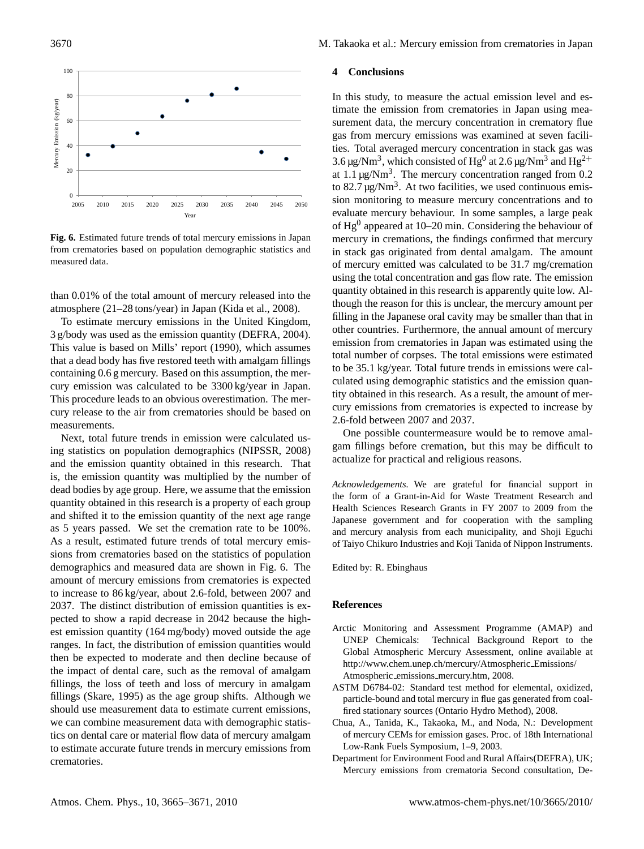

Fig. 6. Estimated future trends of total mercury emissions in Japan from crematories based on population demographic statistics and measured data.

than 0.01% of the total amount of mercury released into the atmosphere (21–28 tons/year) in Japan (Kida et al., 2008).

To estimate mercury emissions in the United Kingdom, 3 g/body was used as the emission quantity (DEFRA, 2004). This value is based on Mills' report (1990), which assumes that a dead body has five restored teeth with amalgam fillings containing 0.6 g mercury. Based on this assumption, the mercury emission was calculated to be 3300 kg/year in Japan. This procedure leads to an obvious overestimation. The mercury release to the air from crematories should be based on measurements.

Next, total future trends in emission were calculated using statistics on population demographics (NIPSSR, 2008) and the emission quantity obtained in this research. That is, the emission quantity was multiplied by the number of dead bodies by age group. Here, we assume that the emission quantity obtained in this research is a property of each group and shifted it to the emission quantity of the next age range as 5 years passed. We set the cremation rate to be 100%. As a result, estimated future trends of total mercury emissions from crematories based on the statistics of population demographics and measured data are shown in Fig. 6. The amount of mercury emissions from crematories is expected to increase to 86 kg/year, about 2.6-fold, between 2007 and 2037. The distinct distribution of emission quantities is expected to show a rapid decrease in 2042 because the highest emission quantity (164 mg/body) moved outside the age ranges. In fact, the distribution of emission quantities would then be expected to moderate and then decline because of the impact of dental care, such as the removal of amalgam fillings, the loss of teeth and loss of mercury in amalgam fillings (Skare, 1995) as the age group shifts. Although we should use measurement data to estimate current emissions, we can combine measurement data with demographic statistics on dental care or material flow data of mercury amalgam to estimate accurate future trends in mercury emissions from crematories.

### **4 Conclusions**

In this study, to measure the actual emission level and estimate the emission from crematories in Japan using measurement data, the mercury concentration in crematory flue gas from mercury emissions was examined at seven facilities. Total averaged mercury concentration in stack gas was 3.6 µg/Nm<sup>3</sup>, which consisted of Hg<sup>0</sup> at 2.6 µg/Nm<sup>3</sup> and Hg<sup>2+</sup> at 1.1  $\mu$ g/Nm<sup>3</sup>. The mercury concentration ranged from 0.2 to 82.7  $\mu$ g/Nm<sup>3</sup>. At two facilities, we used continuous emission monitoring to measure mercury concentrations and to evaluate mercury behaviour. In some samples, a large peak of  $Hg<sup>0</sup>$  appeared at 10–20 min. Considering the behaviour of mercury in cremations, the findings confirmed that mercury in stack gas originated from dental amalgam. The amount of mercury emitted was calculated to be 31.7 mg/cremation using the total concentration and gas flow rate. The emission quantity obtained in this research is apparently quite low. Although the reason for this is unclear, the mercury amount per filling in the Japanese oral cavity may be smaller than that in other countries. Furthermore, the annual amount of mercury emission from crematories in Japan was estimated using the total number of corpses. The total emissions were estimated to be 35.1 kg/year. Total future trends in emissions were calculated using demographic statistics and the emission quantity obtained in this research. As a result, the amount of mercury emissions from crematories is expected to increase by 2.6-fold between 2007 and 2037.

One possible countermeasure would be to remove amalgam fillings before cremation, but this may be difficult to actualize for practical and religious reasons.

*Acknowledgements.* We are grateful for financial support in the form of a Grant-in-Aid for Waste Treatment Research and Health Sciences Research Grants in FY 2007 to 2009 from the Japanese government and for cooperation with the sampling and mercury analysis from each municipality, and Shoji Eguchi of Taiyo Chikuro Industries and Koji Tanida of Nippon Instruments.

Edited by: R. Ebinghaus

#### **References**

- Arctic Monitoring and Assessment Programme (AMAP) and UNEP Chemicals: Technical Background Report to the Global Atmospheric Mercury Assessment, online available at [http://www.chem.unep.ch/mercury/Atmospheric](http://www.chem.unep.ch/mercury/Atmospheric_Emissions/Atmospheric_emissions_mercury.htm) Emissions/ Atmospheric emissions [mercury.htm,](http://www.chem.unep.ch/mercury/Atmospheric_Emissions/Atmospheric_emissions_mercury.htm) 2008.
- ASTM D6784-02: Standard test method for elemental, oxidized, particle-bound and total mercury in flue gas generated from coalfired stationary sources (Ontario Hydro Method), 2008.
- Chua, A., Tanida, K., Takaoka, M., and Noda, N.: Development of mercury CEMs for emission gases. Proc. of 18th International Low-Rank Fuels Symposium, 1–9, 2003.
- Department for Environment Food and Rural Affairs(DEFRA), UK; Mercury emissions from crematoria Second consultation, De-